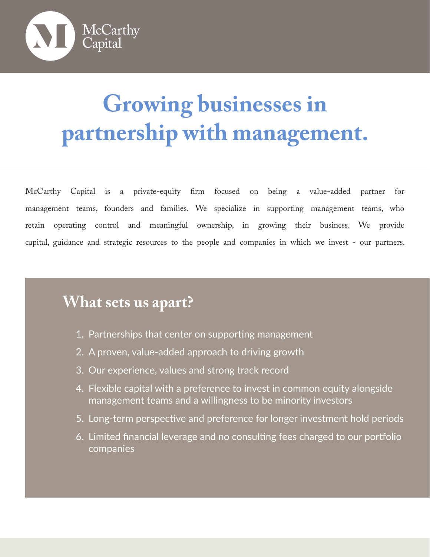

# **Growing businesses in partnership with management.**

McCarthy Capital is a private-equity firm focused on being a value-added partner for management teams, founders and families. We specialize in supporting management teams, who retain operating control and meaningful ownership, in growing their business. We provide capital, guidance and strategic resources to the people and companies in which we invest - our partners.

# **What sets us apart?**

- 1. Partnerships that center on supporting management
- 2. A proven, value-added approach to driving growth
- 3. Our experience, values and strong track record
- 4. Flexible capital with a preference to invest in common equity alongside management teams and a willingness to be minority investors
- 5. Long-term perspective and preference for longer investment hold periods
- 6. Limited financial leverage and no consulting fees charged to our portfolio companies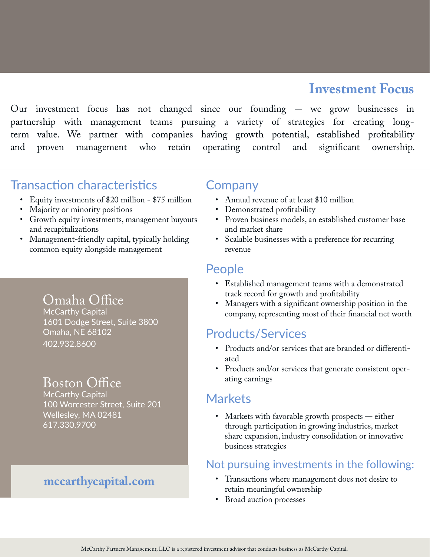## **Investment Focus**

Our investment focus has not changed since our founding  $-$  we grow businesses in partnership with management teams pursuing a variety of strategies for creating longterm value. We partner with companies having growth potential, established profitability and proven management who retain operating control and significant ownership.

### Transaction characteristics

- Equity investments of \$20 million \$75 million
- Majority or minority positions
- Growth equity investments, management buyouts and recapitalizations
- Management-friendly capital, typically holding common equity alongside management

#### Omaha Office

McCarthy Capital 1601 Dodge Street, Suite 3800 Omaha, NE 68102 402.932.8600

## Boston Office

McCarthy Capital 100 Worcester Street, Suite 201 Wellesley, MA 02481 617.330.9700

#### **mccarthycapital.com**

#### Company

- Annual revenue of at least \$10 million
- Demonstrated profitability
- Proven business models, an established customer base and market share
- Scalable businesses with a preference for recurring revenue

#### People

- Established management teams with a demonstrated track record for growth and profitability
- Managers with a significant ownership position in the company, representing most of their financial net worth

#### Products/Services

- Products and/or services that are branded or differentiated
- Products and/or services that generate consistent operating earnings

#### Markets

• Markets with favorable growth prospects  $-$  either through participation in growing industries, market share expansion, industry consolidation or innovative business strategies

#### Not pursuing investments in the following:

- Transactions where management does not desire to retain meaningful ownership
- Broad auction processes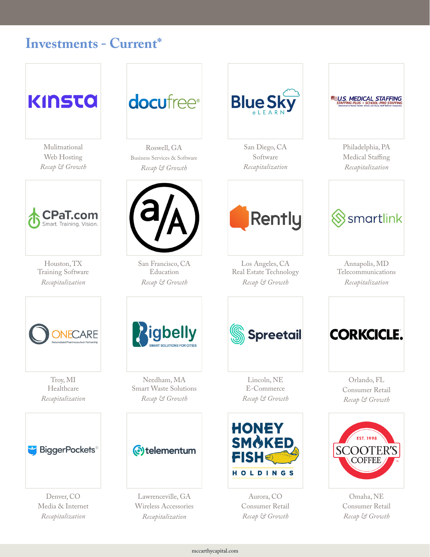## **Investments - Current\***



Mulitnational Web Hosting *Recap & Growth*



Houston, TX Training Software *Recapitalization*



Roswell, GA Business Services & Software *Recap & Growth*



San Francisco, CA Education *Recap & Growth*



San Diego, CA Software *Recapitalization*



Philadelphia, PA Medical Staffing *Recapitalization*



Annapolis, MD Telecommunications *Recapitalization*



Troy, MI Healthcare *Recapitalization*



Denver, CO Media & Internet *Recapitalization*



Needham, MA Smart Waste Solutions *Recap & Growth*

#### Otelementum

Lawrenceville, GA Wireless Accessories *Recapitalization*



Los Angeles, CA Real Estate Technology *Recap & Growth*

**Rently** 

Lincoln, NE E-Commerce *Recap & Growth*



Aurora, CO Consumer Retail *Recap & Growth*



Orlando, FL Consumer Retail *Recap & Growth*



Omaha, NE Consumer Retail *Recap & Growth*